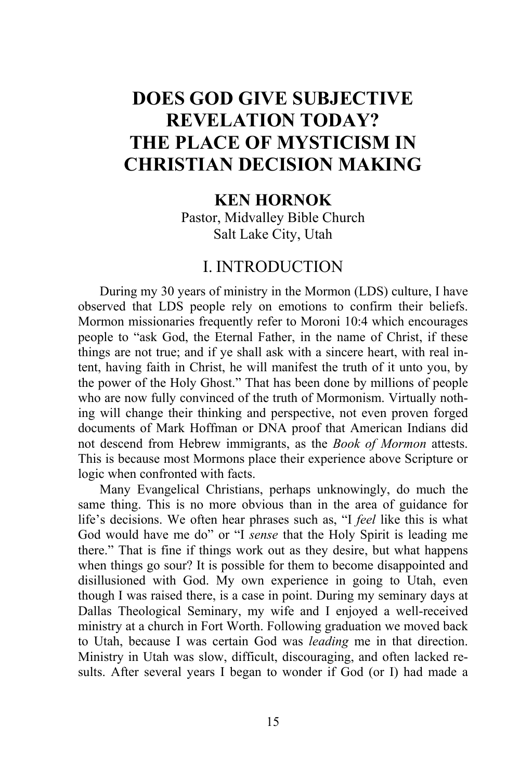# **DOES GOD GIVE SUBJECTIVE REVELATION TODAY? THE PLACE OF MYSTICISM IN CHRISTIAN DECISION MAKING**

## **KEN HORNOK**

Pastor, Midvalley Bible Church Salt Lake City, Utah

## I. INTRODUCTION

During my 30 years of ministry in the Mormon (LDS) culture, I have observed that LDS people rely on emotions to confirm their beliefs. Mormon missionaries frequently refer to Moroni 10:4 which encourages people to "ask God, the Eternal Father, in the name of Christ, if these things are not true; and if ye shall ask with a sincere heart, with real intent, having faith in Christ, he will manifest the truth of it unto you, by the power of the Holy Ghost." That has been done by millions of people who are now fully convinced of the truth of Mormonism. Virtually nothing will change their thinking and perspective, not even proven forged documents of Mark Hoffman or DNA proof that American Indians did not descend from Hebrew immigrants, as the *Book of Mormon* attests. This is because most Mormons place their experience above Scripture or logic when confronted with facts.

Many Evangelical Christians, perhaps unknowingly, do much the same thing. This is no more obvious than in the area of guidance for life's decisions. We often hear phrases such as, "I *feel* like this is what God would have me do" or "I *sense* that the Holy Spirit is leading me there." That is fine if things work out as they desire, but what happens when things go sour? It is possible for them to become disappointed and disillusioned with God. My own experience in going to Utah, even though I was raised there, is a case in point. During my seminary days at Dallas Theological Seminary, my wife and I enjoyed a well-received ministry at a church in Fort Worth. Following graduation we moved back to Utah, because I was certain God was *leading* me in that direction. Ministry in Utah was slow, difficult, discouraging, and often lacked results. After several years I began to wonder if God (or I) had made a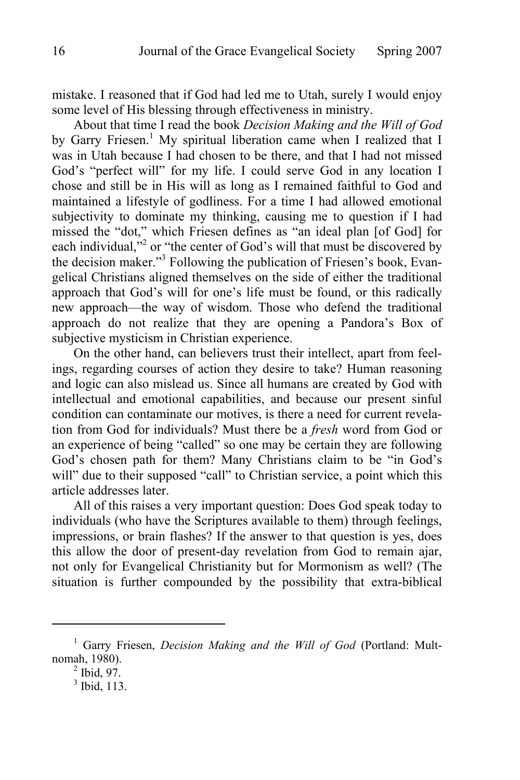mistake. I reasoned that if God had led me to Utah, surely I would enjoy some level of His blessing through effectiveness in ministry.

About that time I read the book *Decision Making and the Will of God* by Garry Friesen.<sup>1</sup> My spiritual liberation came when I realized that I was in Utah because I had chosen to be there, and that I had not missed God's "perfect will" for my life. I could serve God in any location I chose and still be in His will as long as I remained faithful to God and maintained a lifestyle of godliness. For a time I had allowed emotional subjectivity to dominate my thinking, causing me to question if I had missed the "dot," which Friesen defines as "an ideal plan [of God] for each individual,"<sup>2</sup> or "the center of God's will that must be discovered by the decision maker."<sup>3</sup> Following the publication of Friesen's book, Evangelical Christians aligned themselves on the side of either the traditional approach that God's will for one's life must be found, or this radically new approach—the way of wisdom. Those who defend the traditional approach do not realize that they are opening a Pandora's Box of subjective mysticism in Christian experience.

On the other hand, can believers trust their intellect, apart from feelings, regarding courses of action they desire to take? Human reasoning and logic can also mislead us. Since all humans are created by God with intellectual and emotional capabilities, and because our present sinful condition can contaminate our motives, is there a need for current revelation from God for individuals? Must there be a *fresh* word from God or an experience of being "called" so one may be certain they are following God's chosen path for them? Many Christians claim to be "in God's will" due to their supposed "call" to Christian service, a point which this article addresses later.

All of this raises a very important question: Does God speak today to individuals (who have the Scriptures available to them) through feelings, impressions, or brain flashes? If the answer to that question is yes, does this allow the door of present-day revelation from God to remain ajar, not only for Evangelical Christianity but for Mormonism as well? (The situation is further compounded by the possibility that extra-biblical

<sup>&</sup>lt;sup>1</sup> Garry Friesen, *Decision Making and the Will of God* (Portland: Multnomah, 1980). 2

 $<sup>2</sup>$  Ibid, 97.</sup>

<sup>3</sup> Ibid, 113.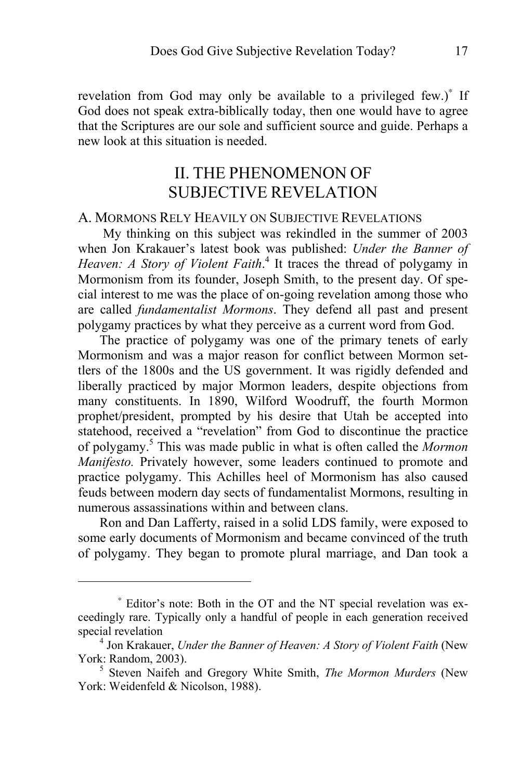revelation from God may only be available to a privileged few.)<sup>\*</sup> If God does not speak extra-biblically today, then one would have to agree that the Scriptures are our sole and sufficient source and guide. Perhaps a new look at this situation is needed.

# II. THE PHENOMENON OF SUBJECTIVE REVELATION

### A. MORMONS RELY HEAVILY ON SUBJECTIVE REVELATIONS

 My thinking on this subject was rekindled in the summer of 2003 when Jon Krakauer's latest book was published: *Under the Banner of*  Heaven: A Story of Violent Faith.<sup>4</sup> It traces the thread of polygamy in Mormonism from its founder, Joseph Smith, to the present day. Of special interest to me was the place of on-going revelation among those who are called *fundamentalist Mormons*. They defend all past and present polygamy practices by what they perceive as a current word from God.

The practice of polygamy was one of the primary tenets of early Mormonism and was a major reason for conflict between Mormon settlers of the 1800s and the US government. It was rigidly defended and liberally practiced by major Mormon leaders, despite objections from many constituents. In 1890, Wilford Woodruff, the fourth Mormon prophet/president, prompted by his desire that Utah be accepted into statehood, received a "revelation" from God to discontinue the practice of polygamy.5 This was made public in what is often called the *Mormon Manifesto.* Privately however, some leaders continued to promote and practice polygamy. This Achilles heel of Mormonism has also caused feuds between modern day sects of fundamentalist Mormons, resulting in numerous assassinations within and between clans.

Ron and Dan Lafferty, raised in a solid LDS family, were exposed to some early documents of Mormonism and became convinced of the truth of polygamy. They began to promote plural marriage, and Dan took a

<sup>∗</sup> Editor's note: Both in the OT and the NT special revelation was exceedingly rare. Typically only a handful of people in each generation received special revelation

<sup>&</sup>lt;sup>4</sup> Jon Krakauer, *Under the Banner of Heaven: A Story of Violent Faith* (New York: Random, 2003). 5

<sup>&</sup>lt;sup>5</sup> Steven Naifeh and Gregory White Smith, *The Mormon Murders* (New York: Weidenfeld & Nicolson, 1988).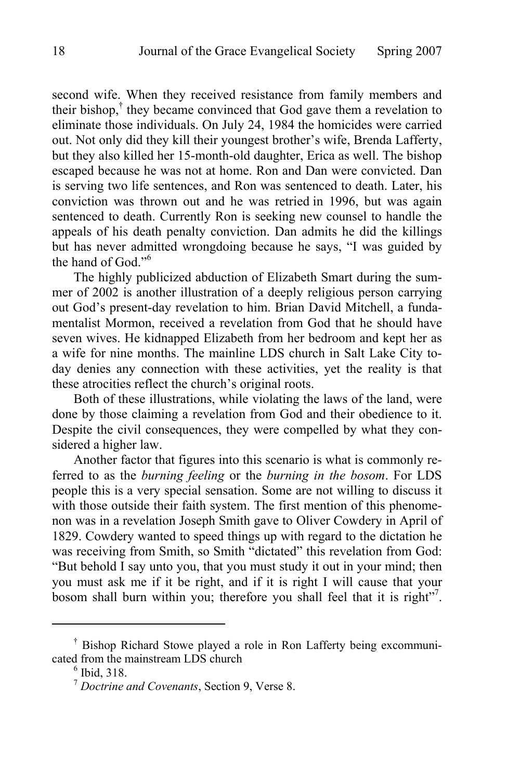second wife. When they received resistance from family members and their bishop,<sup>†</sup> they became convinced that God gave them a revelation to eliminate those individuals. On July 24, 1984 the homicides were carried out. Not only did they kill their youngest brother's wife, Brenda Lafferty, but they also killed her 15-month-old daughter, Erica as well. The bishop escaped because he was not at home. Ron and Dan were convicted. Dan is serving two life sentences, and Ron was sentenced to death. Later, his conviction was thrown out and he was retried in 1996, but was again sentenced to death. Currently Ron is seeking new counsel to handle the appeals of his death penalty conviction. Dan admits he did the killings but has never admitted wrongdoing because he says, "I was guided by the hand of God."6

The highly publicized abduction of Elizabeth Smart during the summer of 2002 is another illustration of a deeply religious person carrying out God's present-day revelation to him. Brian David Mitchell, a fundamentalist Mormon, received a revelation from God that he should have seven wives. He kidnapped Elizabeth from her bedroom and kept her as a wife for nine months. The mainline LDS church in Salt Lake City today denies any connection with these activities, yet the reality is that these atrocities reflect the church's original roots.

Both of these illustrations, while violating the laws of the land, were done by those claiming a revelation from God and their obedience to it. Despite the civil consequences, they were compelled by what they considered a higher law.

Another factor that figures into this scenario is what is commonly referred to as the *burning feeling* or the *burning in the bosom*. For LDS people this is a very special sensation. Some are not willing to discuss it with those outside their faith system. The first mention of this phenomenon was in a revelation Joseph Smith gave to Oliver Cowdery in April of 1829. Cowdery wanted to speed things up with regard to the dictation he was receiving from Smith, so Smith "dictated" this revelation from God: "But behold I say unto you, that you must study it out in your mind; then you must ask me if it be right, and if it is right I will cause that your bosom shall burn within you; therefore you shall feel that it is right".

<sup>†</sup> Bishop Richard Stowe played a role in Ron Lafferty being excommunicated from the mainstream LDS church

 $<sup>6</sup>$  Ibid, 318.</sup>

<sup>7</sup> *Doctrine and Covenants*, Section 9, Verse 8.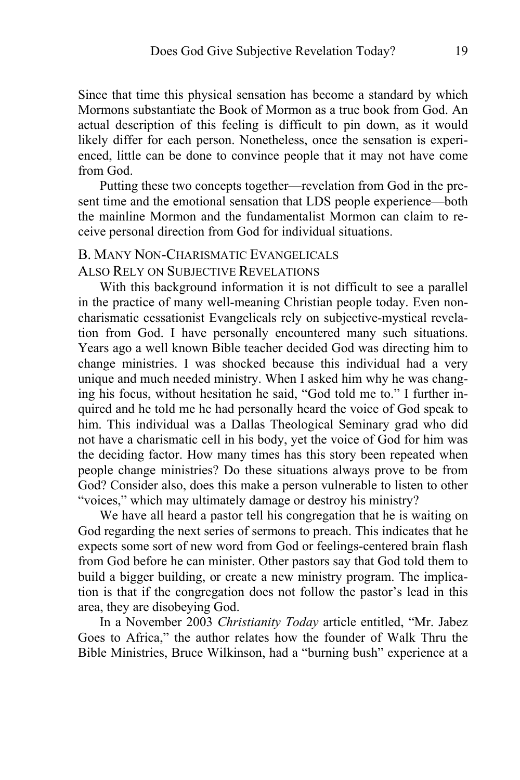Since that time this physical sensation has become a standard by which Mormons substantiate the Book of Mormon as a true book from God. An actual description of this feeling is difficult to pin down, as it would likely differ for each person. Nonetheless, once the sensation is experienced, little can be done to convince people that it may not have come from God.

Putting these two concepts together—revelation from God in the present time and the emotional sensation that LDS people experience—both the mainline Mormon and the fundamentalist Mormon can claim to receive personal direction from God for individual situations.

### B. MANY NON-CHARISMATIC EVANGELICALS

#### ALSO RELY ON SUBJECTIVE REVELATIONS

With this background information it is not difficult to see a parallel in the practice of many well-meaning Christian people today. Even noncharismatic cessationist Evangelicals rely on subjective-mystical revelation from God. I have personally encountered many such situations. Years ago a well known Bible teacher decided God was directing him to change ministries. I was shocked because this individual had a very unique and much needed ministry. When I asked him why he was changing his focus, without hesitation he said, "God told me to." I further inquired and he told me he had personally heard the voice of God speak to him. This individual was a Dallas Theological Seminary grad who did not have a charismatic cell in his body, yet the voice of God for him was the deciding factor. How many times has this story been repeated when people change ministries? Do these situations always prove to be from God? Consider also, does this make a person vulnerable to listen to other "voices," which may ultimately damage or destroy his ministry?

We have all heard a pastor tell his congregation that he is waiting on God regarding the next series of sermons to preach. This indicates that he expects some sort of new word from God or feelings-centered brain flash from God before he can minister. Other pastors say that God told them to build a bigger building, or create a new ministry program. The implication is that if the congregation does not follow the pastor's lead in this area, they are disobeying God.

In a November 2003 *Christianity Today* article entitled, "Mr. Jabez Goes to Africa," the author relates how the founder of Walk Thru the Bible Ministries, Bruce Wilkinson, had a "burning bush" experience at a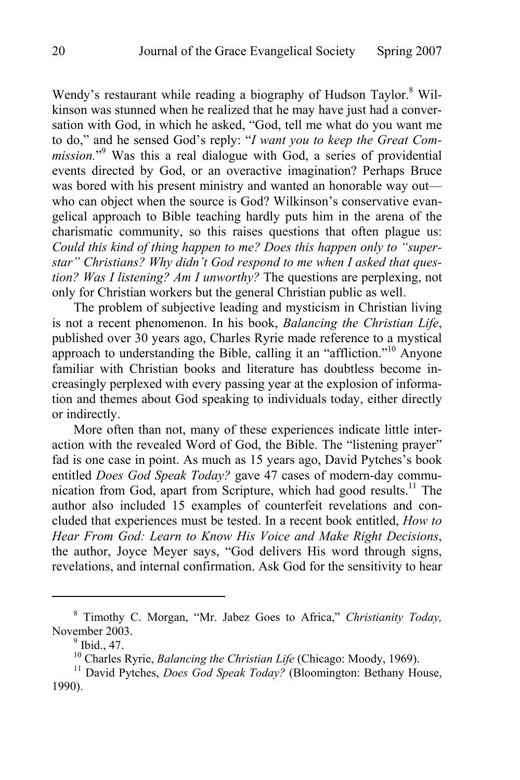Wendy's restaurant while reading a biography of Hudson Taylor.<sup>8</sup> Wilkinson was stunned when he realized that he may have just had a conversation with God, in which he asked, "God, tell me what do you want me to do," and he sensed God's reply: "*I want you to keep the Great Com*mission."<sup>9</sup> Was this a real dialogue with God, a series of providential events directed by God, or an overactive imagination? Perhaps Bruce was bored with his present ministry and wanted an honorable way out who can object when the source is God? Wilkinson's conservative evangelical approach to Bible teaching hardly puts him in the arena of the charismatic community, so this raises questions that often plague us: *Could this kind of thing happen to me? Does this happen only to "superstar" Christians? Why didn't God respond to me when I asked that question? Was I listening? Am I unworthy?* The questions are perplexing, not only for Christian workers but the general Christian public as well.

The problem of subjective leading and mysticism in Christian living is not a recent phenomenon. In his book, *Balancing the Christian Life*, published over 30 years ago, Charles Ryrie made reference to a mystical approach to understanding the Bible, calling it an "affliction."10 Anyone familiar with Christian books and literature has doubtless become increasingly perplexed with every passing year at the explosion of information and themes about God speaking to individuals today, either directly or indirectly.

More often than not, many of these experiences indicate little interaction with the revealed Word of God, the Bible. The "listening prayer" fad is one case in point. As much as 15 years ago, David Pytches's book entitled *Does God Speak Today?* gave 47 cases of modern-day communication from God, apart from Scripture, which had good results.<sup>11</sup> The author also included 15 examples of counterfeit revelations and concluded that experiences must be tested. In a recent book entitled, *How to Hear From God: Learn to Know His Voice and Make Right Decisions*, the author, Joyce Meyer says, "God delivers His word through signs, revelations, and internal confirmation. Ask God for the sensitivity to hear

<sup>8</sup> Timothy C. Morgan, "Mr. Jabez Goes to Africa," *Christianity Today,*  November 2003.

<sup>&</sup>lt;sup>9</sup> Ibid., 47.<br><sup>10</sup> Charles Ryrie, *Balancing the Christian Life* (Chicago: Moody, 1969).

<sup>&</sup>lt;sup>11</sup> David Pytches, *Does God Speak Today?* (Bloomington: Bethany House, 1990).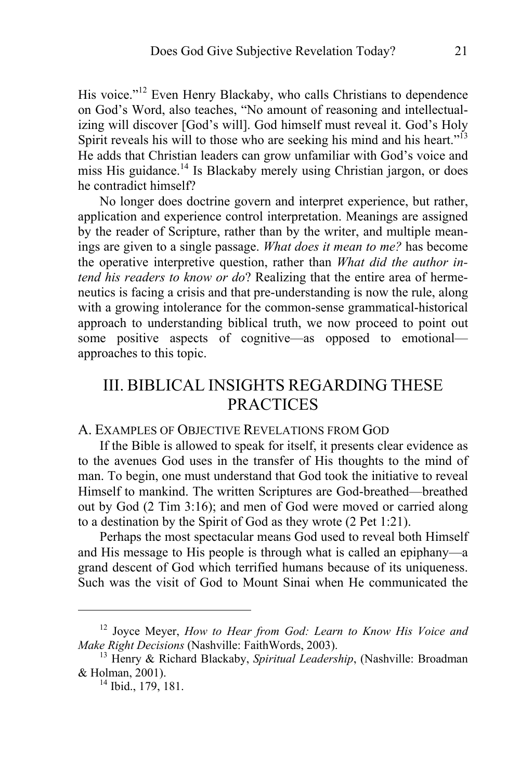His voice."<sup>12</sup> Even Henry Blackaby, who calls Christians to dependence on God's Word, also teaches, "No amount of reasoning and intellectualizing will discover [God's will]. God himself must reveal it. God's Holy Spirit reveals his will to those who are seeking his mind and his heart."<sup>13</sup> He adds that Christian leaders can grow unfamiliar with God's voice and miss His guidance.<sup>14</sup> Is Blackaby merely using Christian jargon, or does he contradict himself?

No longer does doctrine govern and interpret experience, but rather, application and experience control interpretation. Meanings are assigned by the reader of Scripture, rather than by the writer, and multiple meanings are given to a single passage. *What does it mean to me?* has become the operative interpretive question, rather than *What did the author intend his readers to know or do*? Realizing that the entire area of hermeneutics is facing a crisis and that pre-understanding is now the rule, along with a growing intolerance for the common-sense grammatical-historical approach to understanding biblical truth, we now proceed to point out some positive aspects of cognitive—as opposed to emotional approaches to this topic.

# III. BIBLICAL INSIGHTS REGARDING THESE **PRACTICES**

### A. EXAMPLES OF OBJECTIVE REVELATIONS FROM GOD

If the Bible is allowed to speak for itself, it presents clear evidence as to the avenues God uses in the transfer of His thoughts to the mind of man. To begin, one must understand that God took the initiative to reveal Himself to mankind. The written Scriptures are God-breathed—breathed out by God (2 Tim 3:16); and men of God were moved or carried along to a destination by the Spirit of God as they wrote (2 Pet 1:21).

Perhaps the most spectacular means God used to reveal both Himself and His message to His people is through what is called an epiphany—a grand descent of God which terrified humans because of its uniqueness. Such was the visit of God to Mount Sinai when He communicated the

<sup>&</sup>lt;sup>12</sup> Joyce Meyer, *How to Hear from God: Learn to Know His Voice and Make Right Decisions* (Nashville: FaithWords, 2003).

<sup>&</sup>lt;sup>13</sup> Henry & Richard Blackaby, *Spiritual Leadership*, (Nashville: Broadman & Holman, 2001).<br><sup>14</sup> Ibid., 179, 181.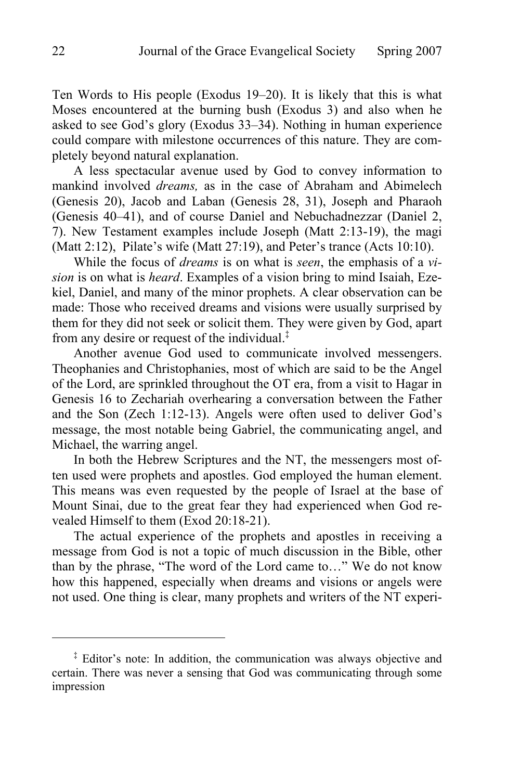Ten Words to His people (Exodus 19–20). It is likely that this is what Moses encountered at the burning bush (Exodus 3) and also when he asked to see God's glory (Exodus 33–34). Nothing in human experience could compare with milestone occurrences of this nature. They are completely beyond natural explanation.

A less spectacular avenue used by God to convey information to mankind involved *dreams,* as in the case of Abraham and Abimelech (Genesis 20), Jacob and Laban (Genesis 28, 31), Joseph and Pharaoh (Genesis 40–41), and of course Daniel and Nebuchadnezzar (Daniel 2, 7). New Testament examples include Joseph (Matt 2:13-19), the magi (Matt 2:12), Pilate's wife (Matt 27:19), and Peter's trance (Acts 10:10).

While the focus of *dreams* is on what is *seen*, the emphasis of a *vision* is on what is *heard*. Examples of a vision bring to mind Isaiah, Ezekiel, Daniel, and many of the minor prophets. A clear observation can be made: Those who received dreams and visions were usually surprised by them for they did not seek or solicit them. They were given by God, apart from any desire or request of the individual.‡

Another avenue God used to communicate involved messengers. Theophanies and Christophanies, most of which are said to be the Angel of the Lord, are sprinkled throughout the OT era, from a visit to Hagar in Genesis 16 to Zechariah overhearing a conversation between the Father and the Son (Zech 1:12-13). Angels were often used to deliver God's message, the most notable being Gabriel, the communicating angel, and Michael, the warring angel.

In both the Hebrew Scriptures and the NT, the messengers most often used were prophets and apostles. God employed the human element. This means was even requested by the people of Israel at the base of Mount Sinai, due to the great fear they had experienced when God revealed Himself to them (Exod 20:18-21).

The actual experience of the prophets and apostles in receiving a message from God is not a topic of much discussion in the Bible, other than by the phrase, "The word of the Lord came to…" We do not know how this happened, especially when dreams and visions or angels were not used. One thing is clear, many prophets and writers of the NT experi-

<sup>&</sup>lt;sup>‡</sup> Editor's note: In addition, the communication was always objective and certain. There was never a sensing that God was communicating through some impression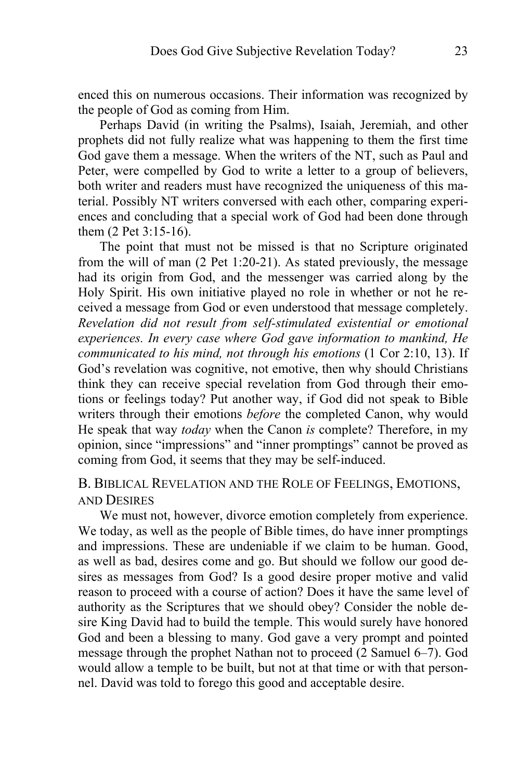enced this on numerous occasions. Their information was recognized by the people of God as coming from Him.

Perhaps David (in writing the Psalms), Isaiah, Jeremiah, and other prophets did not fully realize what was happening to them the first time God gave them a message. When the writers of the NT, such as Paul and Peter, were compelled by God to write a letter to a group of believers, both writer and readers must have recognized the uniqueness of this material. Possibly NT writers conversed with each other, comparing experiences and concluding that a special work of God had been done through them (2 Pet 3:15-16).

The point that must not be missed is that no Scripture originated from the will of man (2 Pet 1:20-21). As stated previously, the message had its origin from God, and the messenger was carried along by the Holy Spirit. His own initiative played no role in whether or not he received a message from God or even understood that message completely. *Revelation did not result from self-stimulated existential or emotional experiences. In every case where God gave information to mankind, He communicated to his mind, not through his emotions* (1 Cor 2:10, 13). If God's revelation was cognitive, not emotive, then why should Christians think they can receive special revelation from God through their emotions or feelings today? Put another way, if God did not speak to Bible writers through their emotions *before* the completed Canon, why would He speak that way *today* when the Canon *is* complete? Therefore, in my opinion, since "impressions" and "inner promptings" cannot be proved as coming from God, it seems that they may be self-induced.

B. BIBLICAL REVELATION AND THE ROLE OF FEELINGS, EMOTIONS, AND DESIRES

We must not, however, divorce emotion completely from experience. We today, as well as the people of Bible times, do have inner promptings and impressions. These are undeniable if we claim to be human. Good, as well as bad, desires come and go. But should we follow our good desires as messages from God? Is a good desire proper motive and valid reason to proceed with a course of action? Does it have the same level of authority as the Scriptures that we should obey? Consider the noble desire King David had to build the temple. This would surely have honored God and been a blessing to many. God gave a very prompt and pointed message through the prophet Nathan not to proceed (2 Samuel 6–7). God would allow a temple to be built, but not at that time or with that personnel. David was told to forego this good and acceptable desire.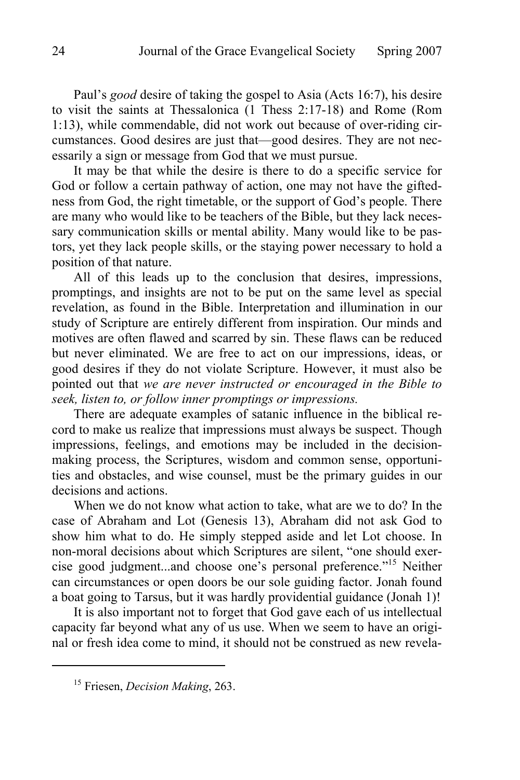Paul's *good* desire of taking the gospel to Asia (Acts 16:7), his desire to visit the saints at Thessalonica (1 Thess 2:17-18) and Rome (Rom 1:13), while commendable, did not work out because of over-riding circumstances. Good desires are just that—good desires. They are not necessarily a sign or message from God that we must pursue.

It may be that while the desire is there to do a specific service for God or follow a certain pathway of action, one may not have the giftedness from God, the right timetable, or the support of God's people. There are many who would like to be teachers of the Bible, but they lack necessary communication skills or mental ability. Many would like to be pastors, yet they lack people skills, or the staying power necessary to hold a position of that nature.

All of this leads up to the conclusion that desires, impressions, promptings, and insights are not to be put on the same level as special revelation, as found in the Bible. Interpretation and illumination in our study of Scripture are entirely different from inspiration. Our minds and motives are often flawed and scarred by sin. These flaws can be reduced but never eliminated. We are free to act on our impressions, ideas, or good desires if they do not violate Scripture. However, it must also be pointed out that *we are never instructed or encouraged in the Bible to seek, listen to, or follow inner promptings or impressions.* 

There are adequate examples of satanic influence in the biblical record to make us realize that impressions must always be suspect. Though impressions, feelings, and emotions may be included in the decisionmaking process, the Scriptures, wisdom and common sense, opportunities and obstacles, and wise counsel, must be the primary guides in our decisions and actions.

When we do not know what action to take, what are we to do? In the case of Abraham and Lot (Genesis 13), Abraham did not ask God to show him what to do. He simply stepped aside and let Lot choose. In non-moral decisions about which Scriptures are silent, "one should exercise good judgment...and choose one's personal preference."15 Neither can circumstances or open doors be our sole guiding factor. Jonah found a boat going to Tarsus, but it was hardly providential guidance (Jonah 1)!

It is also important not to forget that God gave each of us intellectual capacity far beyond what any of us use. When we seem to have an original or fresh idea come to mind, it should not be construed as new revela-

<sup>15</sup> Friesen, *Decision Making*, 263.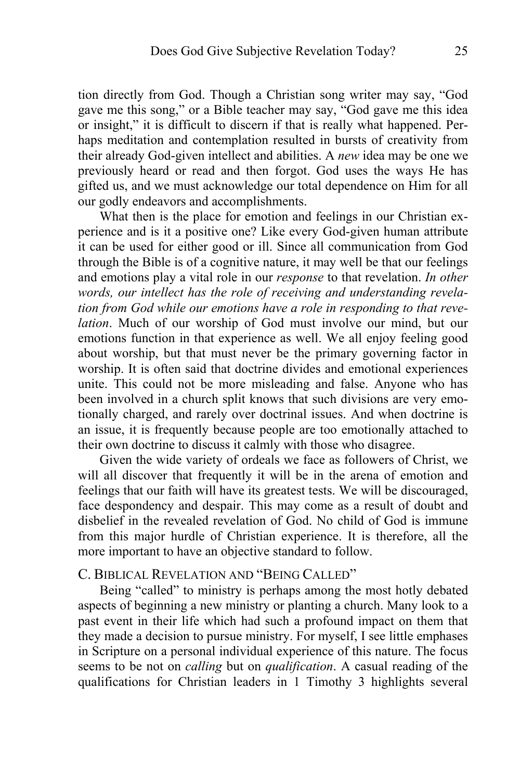tion directly from God. Though a Christian song writer may say, "God gave me this song," or a Bible teacher may say, "God gave me this idea or insight," it is difficult to discern if that is really what happened. Perhaps meditation and contemplation resulted in bursts of creativity from their already God-given intellect and abilities. A *new* idea may be one we previously heard or read and then forgot. God uses the ways He has gifted us, and we must acknowledge our total dependence on Him for all our godly endeavors and accomplishments.

What then is the place for emotion and feelings in our Christian experience and is it a positive one? Like every God-given human attribute it can be used for either good or ill. Since all communication from God through the Bible is of a cognitive nature, it may well be that our feelings and emotions play a vital role in our *response* to that revelation. *In other words, our intellect has the role of receiving and understanding revelation from God while our emotions have a role in responding to that revelation*. Much of our worship of God must involve our mind, but our emotions function in that experience as well. We all enjoy feeling good about worship, but that must never be the primary governing factor in worship. It is often said that doctrine divides and emotional experiences unite. This could not be more misleading and false. Anyone who has been involved in a church split knows that such divisions are very emotionally charged, and rarely over doctrinal issues. And when doctrine is an issue, it is frequently because people are too emotionally attached to their own doctrine to discuss it calmly with those who disagree.

Given the wide variety of ordeals we face as followers of Christ, we will all discover that frequently it will be in the arena of emotion and feelings that our faith will have its greatest tests. We will be discouraged, face despondency and despair. This may come as a result of doubt and disbelief in the revealed revelation of God. No child of God is immune from this major hurdle of Christian experience. It is therefore, all the more important to have an objective standard to follow.

### C. BIBLICAL REVELATION AND "BEING CALLED"

Being "called" to ministry is perhaps among the most hotly debated aspects of beginning a new ministry or planting a church. Many look to a past event in their life which had such a profound impact on them that they made a decision to pursue ministry. For myself, I see little emphases in Scripture on a personal individual experience of this nature. The focus seems to be not on *calling* but on *qualification*. A casual reading of the qualifications for Christian leaders in 1 Timothy 3 highlights several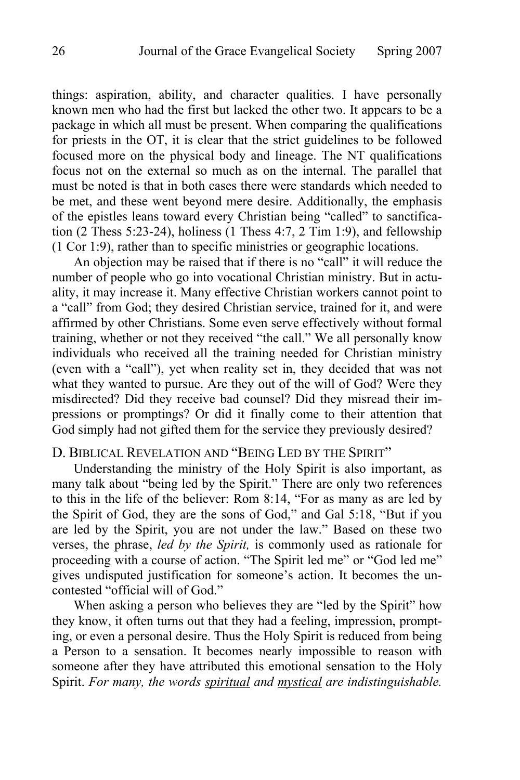things: aspiration, ability, and character qualities. I have personally known men who had the first but lacked the other two. It appears to be a package in which all must be present. When comparing the qualifications for priests in the OT, it is clear that the strict guidelines to be followed focused more on the physical body and lineage. The NT qualifications focus not on the external so much as on the internal. The parallel that must be noted is that in both cases there were standards which needed to be met, and these went beyond mere desire. Additionally, the emphasis of the epistles leans toward every Christian being "called" to sanctification (2 Thess 5:23-24), holiness (1 Thess 4:7, 2 Tim 1:9), and fellowship (1 Cor 1:9), rather than to specific ministries or geographic locations.

An objection may be raised that if there is no "call" it will reduce the number of people who go into vocational Christian ministry. But in actuality, it may increase it. Many effective Christian workers cannot point to a "call" from God; they desired Christian service, trained for it, and were affirmed by other Christians. Some even serve effectively without formal training, whether or not they received "the call." We all personally know individuals who received all the training needed for Christian ministry (even with a "call"), yet when reality set in, they decided that was not what they wanted to pursue. Are they out of the will of God? Were they misdirected? Did they receive bad counsel? Did they misread their impressions or promptings? Or did it finally come to their attention that God simply had not gifted them for the service they previously desired?

### D. BIBLICAL REVELATION AND "BEING LED BY THE SPIRIT"

Understanding the ministry of the Holy Spirit is also important, as many talk about "being led by the Spirit." There are only two references to this in the life of the believer: Rom 8:14, "For as many as are led by the Spirit of God, they are the sons of God," and Gal 5:18, "But if you are led by the Spirit, you are not under the law." Based on these two verses, the phrase, *led by the Spirit,* is commonly used as rationale for proceeding with a course of action. "The Spirit led me" or "God led me" gives undisputed justification for someone's action. It becomes the uncontested "official will of God."

When asking a person who believes they are "led by the Spirit" how they know, it often turns out that they had a feeling, impression, prompting, or even a personal desire. Thus the Holy Spirit is reduced from being a Person to a sensation. It becomes nearly impossible to reason with someone after they have attributed this emotional sensation to the Holy Spirit. *For many, the words spiritual and mystical are indistinguishable.*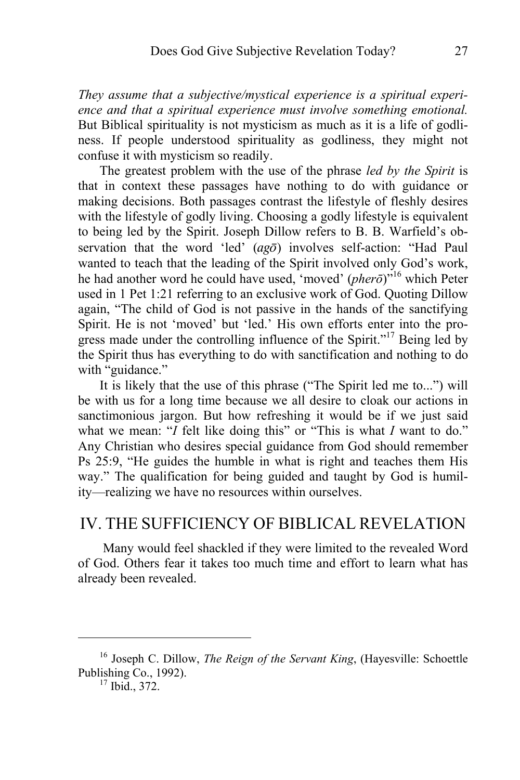*They assume that a subjective/mystical experience is a spiritual experience and that a spiritual experience must involve something emotional.*  But Biblical spirituality is not mysticism as much as it is a life of godliness. If people understood spirituality as godliness, they might not confuse it with mysticism so readily.

The greatest problem with the use of the phrase *led by the Spirit* is that in context these passages have nothing to do with guidance or making decisions. Both passages contrast the lifestyle of fleshly desires with the lifestyle of godly living. Choosing a godly lifestyle is equivalent to being led by the Spirit. Joseph Dillow refers to B. B. Warfield's observation that the word 'led'  $(aq\bar{o})$  involves self-action: "Had Paul wanted to teach that the leading of the Spirit involved only God's work, he had another word he could have used, 'moved' (*pherō*)"16 which Peter used in 1 Pet 1:21 referring to an exclusive work of God. Quoting Dillow again, "The child of God is not passive in the hands of the sanctifying Spirit. He is not 'moved' but 'led.' His own efforts enter into the progress made under the controlling influence of the Spirit."<sup>17</sup> Being led by the Spirit thus has everything to do with sanctification and nothing to do with "guidance."

It is likely that the use of this phrase ("The Spirit led me to...") will be with us for a long time because we all desire to cloak our actions in sanctimonious jargon. But how refreshing it would be if we just said what we mean: "*I* felt like doing this" or "This is what *I* want to do." Any Christian who desires special guidance from God should remember Ps 25:9, "He guides the humble in what is right and teaches them His way." The qualification for being guided and taught by God is humility—realizing we have no resources within ourselves.

# IV. THE SUFFICIENCY OF BIBLICAL REVELATION

 Many would feel shackled if they were limited to the revealed Word of God. Others fear it takes too much time and effort to learn what has already been revealed.

<sup>16</sup> Joseph C. Dillow, *The Reign of the Servant King*, (Hayesville: Schoettle Publishing Co., 1992).<br> $^{17}$  Ibid., 372.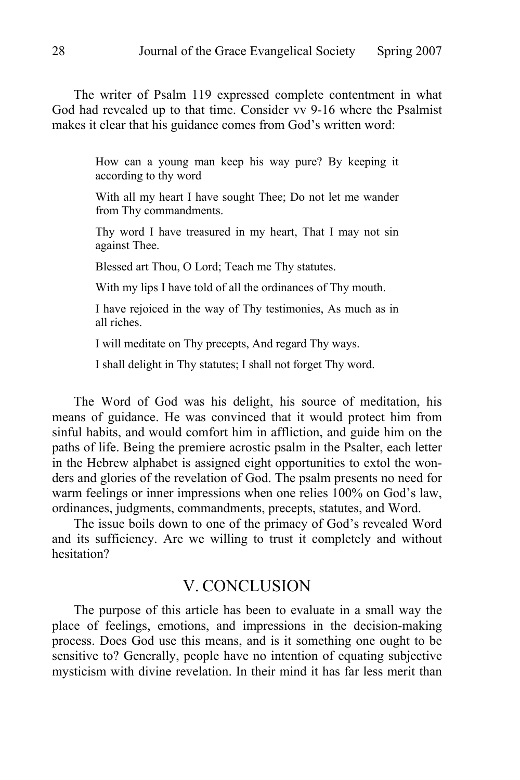The writer of Psalm 119 expressed complete contentment in what God had revealed up to that time. Consider vv 9-16 where the Psalmist makes it clear that his guidance comes from God's written word:

> How can a young man keep his way pure? By keeping it according to thy word

> With all my heart I have sought Thee; Do not let me wander from Thy commandments.

> Thy word I have treasured in my heart, That I may not sin against Thee.

Blessed art Thou, O Lord; Teach me Thy statutes.

With my lips I have told of all the ordinances of Thy mouth.

I have rejoiced in the way of Thy testimonies, As much as in all riches.

I will meditate on Thy precepts, And regard Thy ways.

I shall delight in Thy statutes; I shall not forget Thy word.

The Word of God was his delight, his source of meditation, his means of guidance. He was convinced that it would protect him from sinful habits, and would comfort him in affliction, and guide him on the paths of life. Being the premiere acrostic psalm in the Psalter, each letter in the Hebrew alphabet is assigned eight opportunities to extol the wonders and glories of the revelation of God. The psalm presents no need for warm feelings or inner impressions when one relies 100% on God's law, ordinances, judgments, commandments, precepts, statutes, and Word.

The issue boils down to one of the primacy of God's revealed Word and its sufficiency. Are we willing to trust it completely and without hesitation?

# V. CONCLUSION

The purpose of this article has been to evaluate in a small way the place of feelings, emotions, and impressions in the decision-making process. Does God use this means, and is it something one ought to be sensitive to? Generally, people have no intention of equating subjective mysticism with divine revelation. In their mind it has far less merit than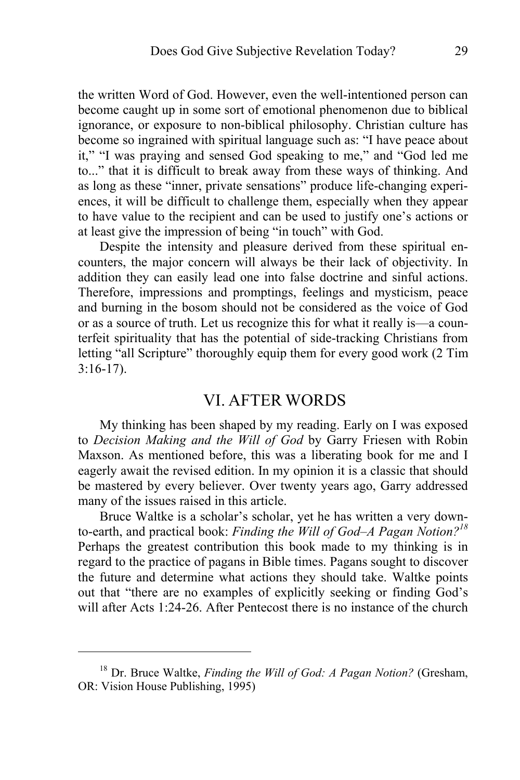the written Word of God. However, even the well-intentioned person can become caught up in some sort of emotional phenomenon due to biblical ignorance, or exposure to non-biblical philosophy. Christian culture has become so ingrained with spiritual language such as: "I have peace about it," "I was praying and sensed God speaking to me," and "God led me to..." that it is difficult to break away from these ways of thinking. And as long as these "inner, private sensations" produce life-changing experiences, it will be difficult to challenge them, especially when they appear to have value to the recipient and can be used to justify one's actions or at least give the impression of being "in touch" with God.

Despite the intensity and pleasure derived from these spiritual encounters, the major concern will always be their lack of objectivity. In addition they can easily lead one into false doctrine and sinful actions. Therefore, impressions and promptings, feelings and mysticism, peace and burning in the bosom should not be considered as the voice of God or as a source of truth. Let us recognize this for what it really is—a counterfeit spirituality that has the potential of side-tracking Christians from letting "all Scripture" thoroughly equip them for every good work (2 Tim 3:16-17).

### VI. AFTER WORDS

My thinking has been shaped by my reading. Early on I was exposed to *Decision Making and the Will of God* by Garry Friesen with Robin Maxson. As mentioned before, this was a liberating book for me and I eagerly await the revised edition. In my opinion it is a classic that should be mastered by every believer. Over twenty years ago, Garry addressed many of the issues raised in this article.

Bruce Waltke is a scholar's scholar, yet he has written a very downto-earth, and practical book: *Finding the Will of God–A Pagan Notion?18* Perhaps the greatest contribution this book made to my thinking is in regard to the practice of pagans in Bible times. Pagans sought to discover the future and determine what actions they should take. Waltke points out that "there are no examples of explicitly seeking or finding God's will after Acts 1:24-26. After Pentecost there is no instance of the church

<sup>18</sup> Dr. Bruce Waltke, *Finding the Will of God: A Pagan Notion?* (Gresham, OR: Vision House Publishing, 1995)